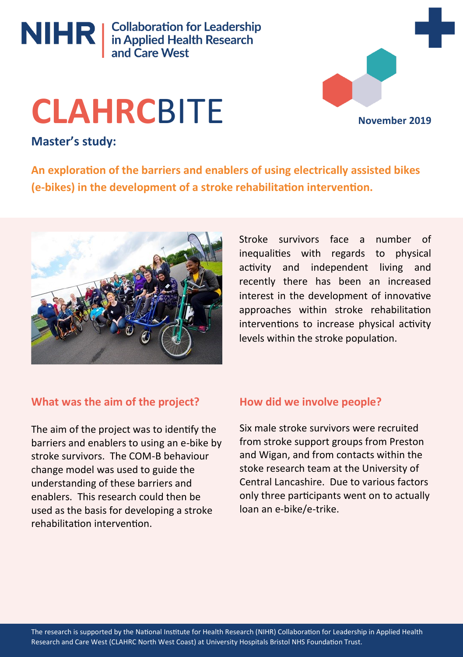

# **CLAHRC**BITE

**November 2019**

# **Master's study:**

**An exploration of the barriers and enablers of using electrically assisted bikes (e-bikes) in the development of a stroke rehabilitation intervention.**



Stroke survivors face a number of inequalities with regards to physical activity and independent living and recently there has been an increased interest in the development of innovative approaches within stroke rehabilitation interventions to increase physical activity levels within the stroke population.

# **What was the aim of the project?**

The aim of the project was to identify the barriers and enablers to using an e-bike by stroke survivors. The COM-B behaviour change model was used to guide the understanding of these barriers and enablers. This research could then be used as the basis for developing a stroke rehabilitation intervention.

# **How did we involve people?**

Six male stroke survivors were recruited from stroke support groups from Preston and Wigan, and from contacts within the stoke research team at the University of Central Lancashire. Due to various factors only three participants went on to actually loan an e-bike/e-trike.